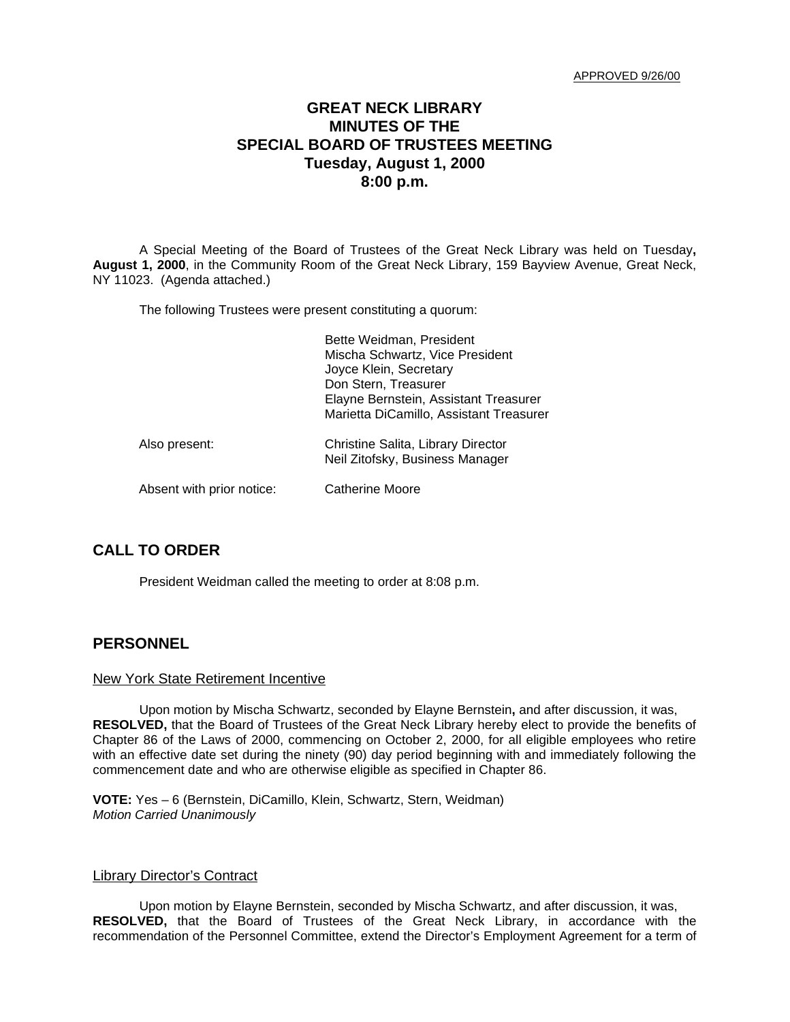APPROVED 9/26/00

# **GREAT NECK LIBRARY MINUTES OF THE SPECIAL BOARD OF TRUSTEES MEETING Tuesday, August 1, 2000 8:00 p.m.**

A Special Meeting of the Board of Trustees of the Great Neck Library was held on Tuesday**, August 1, 2000**, in the Community Room of the Great Neck Library, 159 Bayview Avenue, Great Neck, NY 11023. (Agenda attached.)

The following Trustees were present constituting a quorum:

|                           | Bette Weidman, President<br>Mischa Schwartz, Vice President<br>Joyce Klein, Secretary<br>Don Stern, Treasurer<br>Elayne Bernstein, Assistant Treasurer<br>Marietta DiCamillo, Assistant Treasurer |
|---------------------------|---------------------------------------------------------------------------------------------------------------------------------------------------------------------------------------------------|
| Also present:             | Christine Salita, Library Director<br>Neil Zitofsky, Business Manager                                                                                                                             |
| Absent with prior notice: | Catherine Moore                                                                                                                                                                                   |

## **CALL TO ORDER**

President Weidman called the meeting to order at 8:08 p.m.

### **PERSONNEL**

#### New York State Retirement Incentive

Upon motion by Mischa Schwartz, seconded by Elayne Bernstein**,** and after discussion, it was, **RESOLVED,** that the Board of Trustees of the Great Neck Library hereby elect to provide the benefits of Chapter 86 of the Laws of 2000, commencing on October 2, 2000, for all eligible employees who retire with an effective date set during the ninety (90) day period beginning with and immediately following the commencement date and who are otherwise eligible as specified in Chapter 86.

**VOTE:** Yes – 6 (Bernstein, DiCamillo, Klein, Schwartz, Stern, Weidman) *Motion Carried Unanimously*

### Library Director's Contract

Upon motion by Elayne Bernstein, seconded by Mischa Schwartz, and after discussion, it was, **RESOLVED,** that the Board of Trustees of the Great Neck Library, in accordance with the recommendation of the Personnel Committee, extend the Director's Employment Agreement for a term of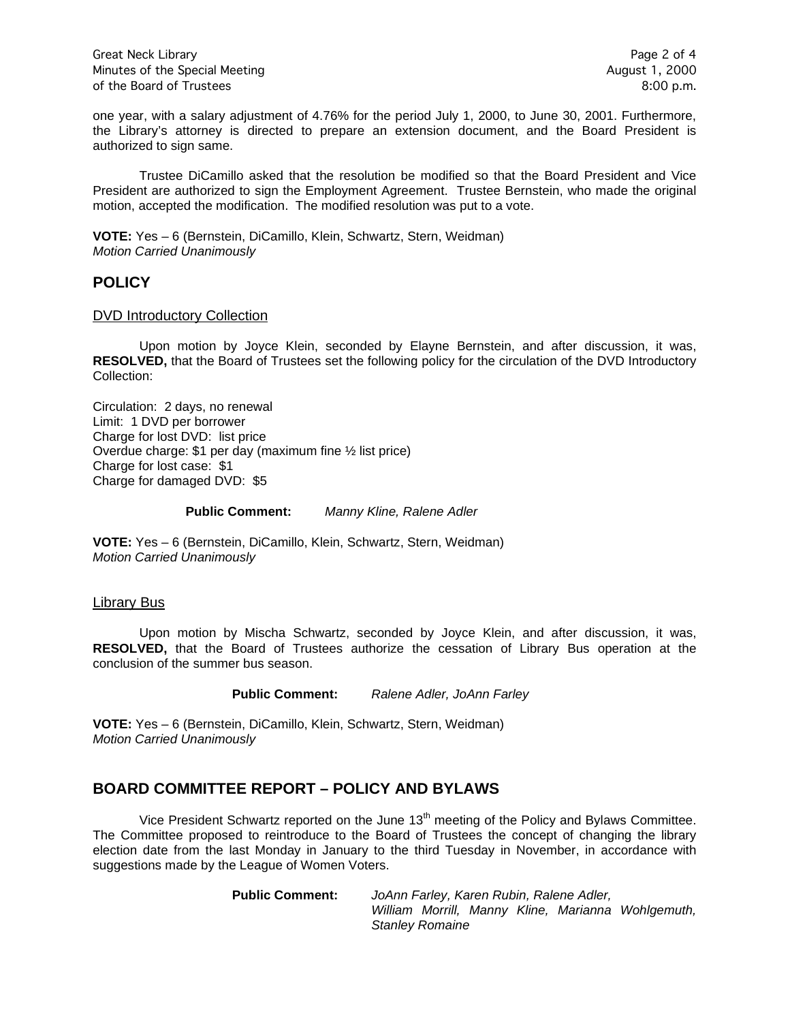Great Neck Library **Page 2 of 4** Minutes of the Special Meeting August 1, 2000 of the Board of Trustees 8:00 p.m.

one year, with a salary adjustment of 4.76% for the period July 1, 2000, to June 30, 2001. Furthermore, the Library's attorney is directed to prepare an extension document, and the Board President is authorized to sign same.

Trustee DiCamillo asked that the resolution be modified so that the Board President and Vice President are authorized to sign the Employment Agreement. Trustee Bernstein, who made the original motion, accepted the modification. The modified resolution was put to a vote.

**VOTE:** Yes – 6 (Bernstein, DiCamillo, Klein, Schwartz, Stern, Weidman) *Motion Carried Unanimously*

### **POLICY**

### DVD Introductory Collection

Upon motion by Joyce Klein, seconded by Elayne Bernstein, and after discussion, it was, **RESOLVED,** that the Board of Trustees set the following policy for the circulation of the DVD Introductory Collection:

Circulation: 2 days, no renewal Limit: 1 DVD per borrower Charge for lost DVD: list price Overdue charge: \$1 per day (maximum fine ½ list price) Charge for lost case: \$1 Charge for damaged DVD: \$5

**Public Comment:** *Manny Kline, Ralene Adler*

**VOTE:** Yes – 6 (Bernstein, DiCamillo, Klein, Schwartz, Stern, Weidman) *Motion Carried Unanimously*

#### Library Bus

Upon motion by Mischa Schwartz, seconded by Joyce Klein, and after discussion, it was, **RESOLVED,** that the Board of Trustees authorize the cessation of Library Bus operation at the conclusion of the summer bus season.

**Public Comment:** *Ralene Adler, JoAnn Farley*

**VOTE:** Yes – 6 (Bernstein, DiCamillo, Klein, Schwartz, Stern, Weidman) *Motion Carried Unanimously*

### **BOARD COMMITTEE REPORT – POLICY AND BYLAWS**

Vice President Schwartz reported on the June 13<sup>th</sup> meeting of the Policy and Bylaws Committee. The Committee proposed to reintroduce to the Board of Trustees the concept of changing the library election date from the last Monday in January to the third Tuesday in November, in accordance with suggestions made by the League of Women Voters.

> **Public Comment:** *JoAnn Farley, Karen Rubin, Ralene Adler, William Morrill, Manny Kline, Marianna Wohlgemuth, Stanley Romaine*